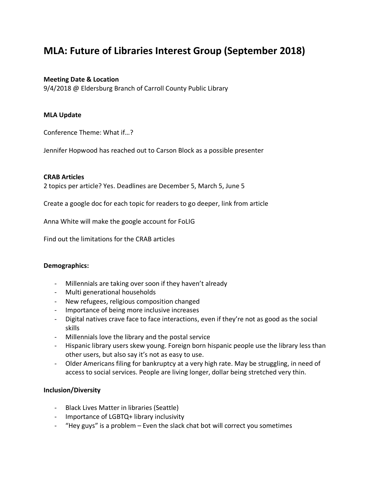# **MLA: Future of Libraries Interest Group (September 2018)**

### **Meeting Date & Location**

9/4/2018 @ Eldersburg Branch of Carroll County Public Library

### **MLA Update**

Conference Theme: What if…?

Jennifer Hopwood has reached out to Carson Block as a possible presenter

#### **CRAB Articles**

2 topics per article? Yes. Deadlines are December 5, March 5, June 5

Create a google doc for each topic for readers to go deeper, link from article

Anna White will make the google account for FoLIG

Find out the limitations for the CRAB articles

#### **Demographics:**

- Millennials are taking over soon if they haven't already
- Multi generational households
- New refugees, religious composition changed
- Importance of being more inclusive increases
- Digital natives crave face to face interactions, even if they're not as good as the social skills
- Millennials love the library and the postal service
- Hispanic library users skew young. Foreign born hispanic people use the library less than other users, but also say it's not as easy to use.
- Older Americans filing for bankruptcy at a very high rate. May be struggling, in need of access to social services. People are living longer, dollar being stretched very thin.

# **Inclusion/Diversity**

- Black Lives Matter in libraries (Seattle)
- Importance of LGBTQ+ library inclusivity
- "Hey guys" is a problem Even the slack chat bot will correct you sometimes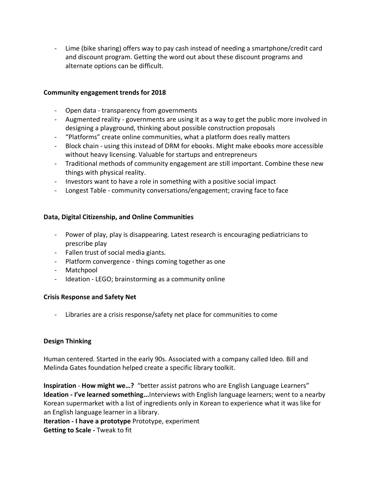- Lime (bike sharing) offers way to pay cash instead of needing a smartphone/credit card and discount program. Getting the word out about these discount programs and alternate options can be difficult.

# **Community engagement trends for 2018**

- Open data transparency from governments
- Augmented reality governments are using it as a way to get the public more involved in designing a playground, thinking about possible construction proposals
- "Platforms" create online communities, what a platform does really matters
- Block chain using this instead of DRM for ebooks. Might make ebooks more accessible without heavy licensing. Valuable for startups and entrepreneurs
- Traditional methods of community engagement are still important. Combine these new things with physical reality.
- Investors want to have a role in something with a positive social impact
- Longest Table community conversations/engagement; craving face to face

# **Data, Digital Citizenship, and Online Communities**

- Power of play, play is disappearing. Latest research is encouraging pediatricians to prescribe play
- Fallen trust of social media giants.
- Platform convergence things coming together as one
- Matchpool
- Ideation LEGO; brainstorming as a community online

# **Crisis Response and Safety Net**

- Libraries are a crisis response/safety net place for communities to come

# **Design Thinking**

Human centered. Started in the early 90s. Associated with a company called Ideo. Bill and Melinda Gates foundation helped create a specific library toolkit.

**Inspiration** - **How might we…?** "better assist patrons who are English Language Learners" **Ideation - I've learned something...**Interviews with English language learners; went to a nearby Korean supermarket with a list of ingredients only in Korean to experience what it was like for an English language learner in a library.

**Iteration - I have a prototype** Prototype, experiment **Getting to Scale -** Tweak to fit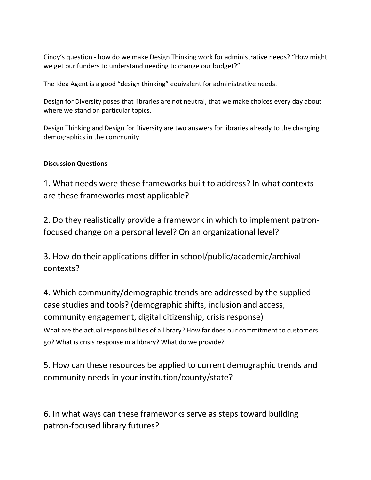Cindy's question - how do we make Design Thinking work for administrative needs? "How might we get our funders to understand needing to change our budget?"

The Idea Agent is a good "design thinking" equivalent for administrative needs.

Design for Diversity poses that libraries are not neutral, that we make choices every day about where we stand on particular topics.

Design Thinking and Design for Diversity are two answers for libraries already to the changing demographics in the community.

# **Discussion Questions**

1. What needs were these frameworks built to address? In what contexts are these frameworks most applicable?

2. Do they realistically provide a framework in which to implement patronfocused change on a personal level? On an organizational level?

3. How do their applications differ in school/public/academic/archival contexts?

4. Which community/demographic trends are addressed by the supplied case studies and tools? (demographic shifts, inclusion and access, community engagement, digital citizenship, crisis response) What are the actual responsibilities of a library? How far does our commitment to customers go? What is crisis response in a library? What do we provide?

5. How can these resources be applied to current demographic trends and community needs in your institution/county/state?

6. In what ways can these frameworks serve as steps toward building patron-focused library futures?